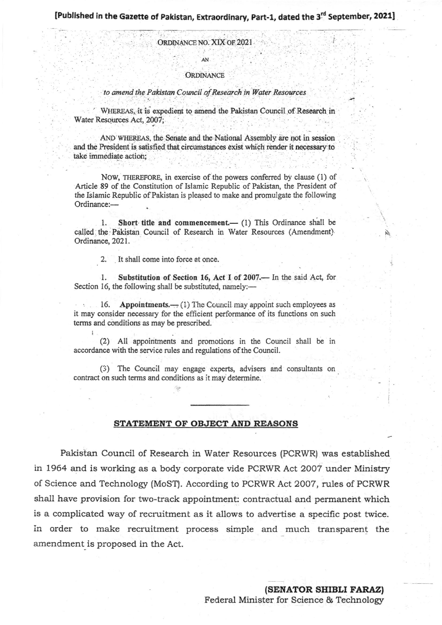ORDINANCE NO. XIX OF 2021

AN

## **ORDINANCE**

to amend the Pakistan Council of Research in Water Resources

WHEREAS it is expedient to amend the Pakistan Council of Research in Water Resources Act, 2007;

AND WHEREAS, the Senate and the National Assembly are not in session and the President is satisfied that circumstances exist which render it necessary to take immediate action;

NOW, THEREFORE, in exercise of the powers conferred by clause (1) of Article 89 of the Constitution of Islamic Republic of Pakistan, the President of the Islamic Republic of Pakistan is pleased to make and promulgate the following Ordinance:-

Short title and commencement.- (1) This Ordinance shall be  $1.$ called the Pakistan Council of Research in Water Resources (Amendment). Ordinance, 2021.

2. It shall come into force at once.

Substitution of Section 16, Act I of 2007.- In the said Act, for  $\cdot$ 1. Section 16, the following shall be substituted, namely:-

Appointments.  $\leftarrow$  (1) The Council may appoint such employees as 16. it may consider necessary for the efficient performance of its functions on such terms and conditions as may be prescribed.

(2) All appointments and promotions in the Council shall be in accordance with the service rules and regulations of the Council.

(3) The Council may engage experts, advisers and consultants on contract on such terms and conditions as it may determine.

## STATEMENT OF OBJECT AND REASONS

Pakistan Council of Research in Water Resources (PCRWR) was established in 1964 and is working as a body corporate vide PCRWR Act 2007 under Ministry of Science and Technology (MoST). According to PCRWR Act 2007, rules of PCRWR shall have provision for two-track appointment: contractual and permanent which is a complicated way of recruitment as it allows to advertise a specific post twice. in order to make recruitment process simple and much transparent the amendment is proposed in the Act.